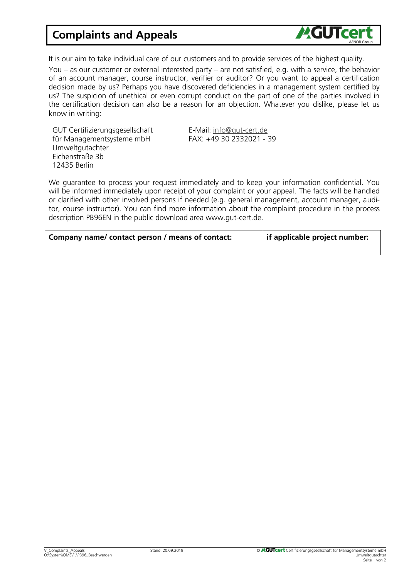## Complaints and Appeals



It is our aim to take individual care of our customers and to provide services of the highest quality.

You – as our customer or external interested party – are not satisfied, e.g. with a service, the behavior of an account manager, course instructor, verifier or auditor? Or you want to appeal a certification decision made by us? Perhaps you have discovered deficiencies in a management system certified by us? The suspicion of unethical or even corrupt conduct on the part of one of the parties involved in the certification decision can also be a reason for an objection. Whatever you dislike, please let us know in writing:

GUT Certifizierungsgesellschaft für Managementsysteme mbH Umweltgutachter Eichenstraße 3b 12435 Berlin

E-Mail: [info@gut-cert.de](mailto:info@gut-cert.de) FAX: +49 30 2332021 - 39

We guarantee to process your request immediately and to keep your information confidential. You will be informed immediately upon receipt of your complaint or your appeal. The facts will be handled or clarified with other involved persons if needed (e.g. general management, account manager, auditor, course instructor). You can find more information about the complaint procedure in the process description PB96EN in the public download area www.gut-cert.de.

| Company name/contact person / means of contact: | if applicable project number: |
|-------------------------------------------------|-------------------------------|
|                                                 |                               |